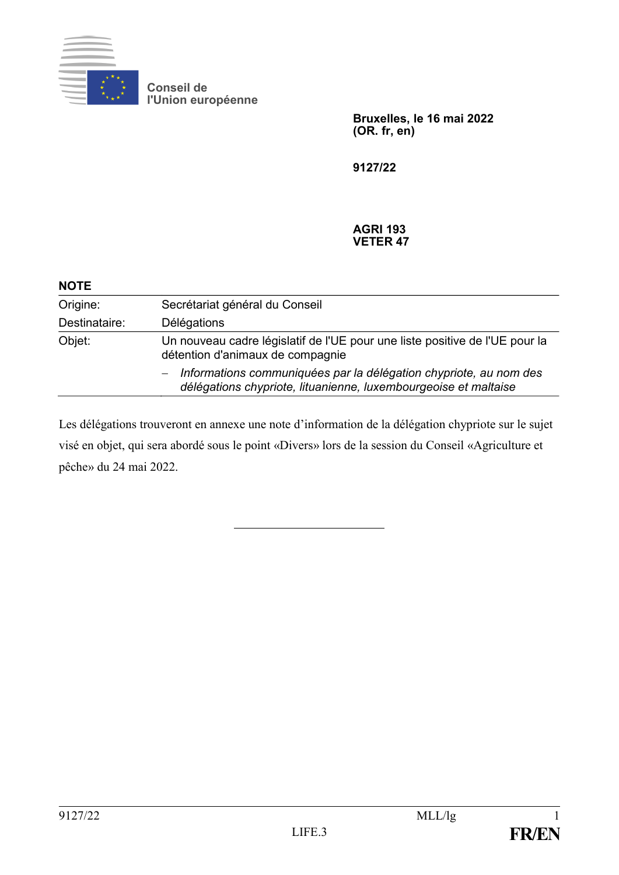

**Conseil de l'Union européenne**

> **Bruxelles, le 16 mai 2022 (OR. fr, en)**

**9127/22**

#### **AGRI 193 VETER 47**

| <b>NOTE</b>   |                                                                                                                                                                  |
|---------------|------------------------------------------------------------------------------------------------------------------------------------------------------------------|
| Origine:      | Secrétariat général du Conseil                                                                                                                                   |
| Destinataire: | Délégations                                                                                                                                                      |
| Objet:        | Un nouveau cadre législatif de l'UE pour une liste positive de l'UE pour la<br>détention d'animaux de compagnie                                                  |
|               | Informations communiquées par la délégation chypriote, au nom des<br>$\overline{\phantom{0}}$<br>délégations chypriote, lituanienne, luxembourgeoise et maltaise |

Les délégations trouveront en annexe une note d'information de la délégation chypriote sur le sujet visé en objet, qui sera abordé sous le point «Divers» lors de la session du Conseil «Agriculture et pêche» du 24 mai 2022.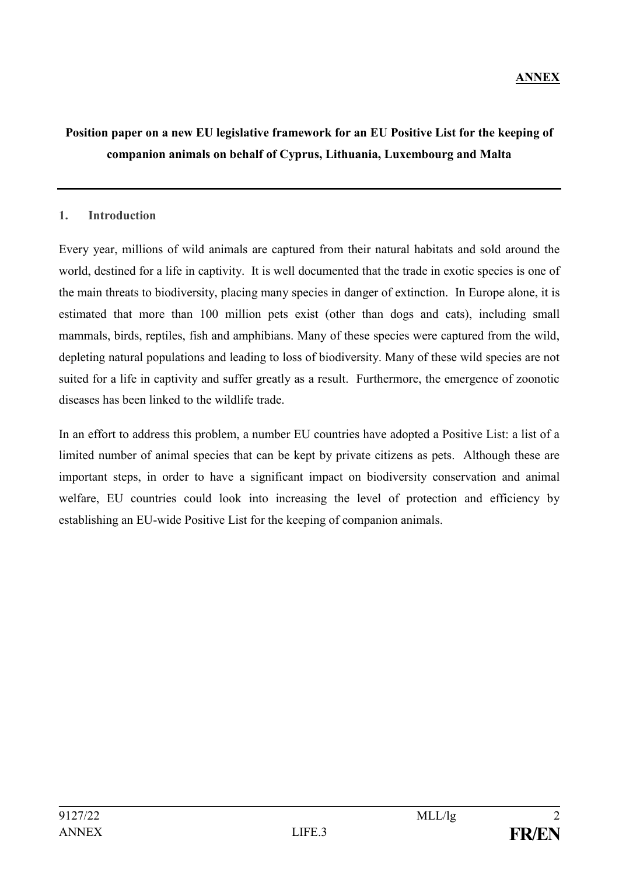# **Position paper on a new EU legislative framework for an EU Positive List for the keeping of companion animals on behalf of Cyprus, Lithuania, Luxembourg and Malta**

### **1. Introduction**

Every year, millions of wild animals are captured from their natural habitats and sold around the world, destined for a life in captivity. It is well documented that the trade in exotic species is one of the main threats to biodiversity, placing many species in danger of extinction. In Europe alone, it is estimated that more than 100 million pets exist (other than dogs and cats), including small mammals, birds, reptiles, fish and amphibians. Many of these species were captured from the wild, depleting natural populations and leading to loss of biodiversity. Many of these wild species are not suited for a life in captivity and suffer greatly as a result. Furthermore, the emergence of zoonotic diseases has been linked to the wildlife trade.

In an effort to address this problem, a number EU countries have adopted a Positive List: a list of a limited number of animal species that can be kept by private citizens as pets. Although these are important steps, in order to have a significant impact on biodiversity conservation and animal welfare, EU countries could look into increasing the level of protection and efficiency by establishing an EU-wide Positive List for the keeping of companion animals.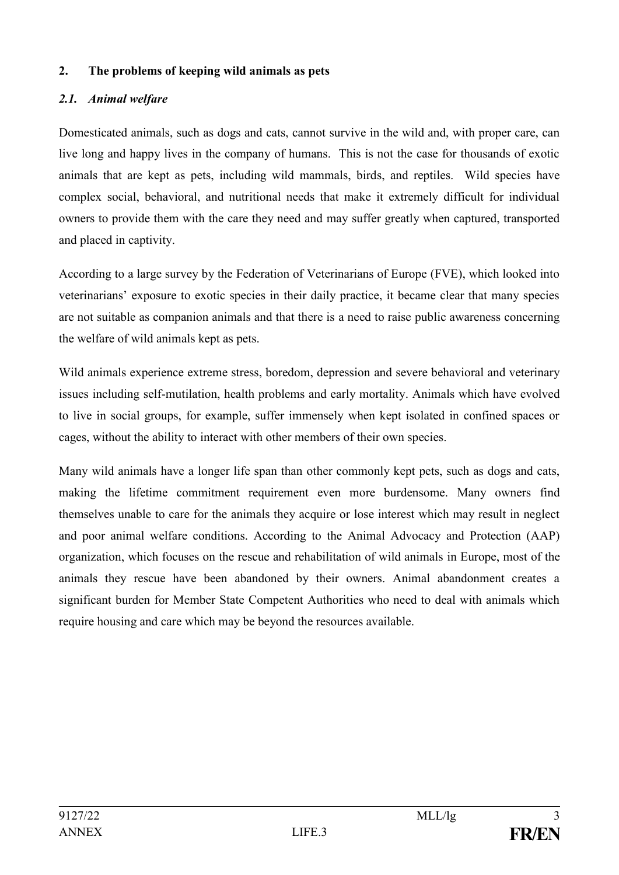#### **2. The problems of keeping wild animals as pets**

## *2.1. Animal welfare*

Domesticated animals, such as dogs and cats, cannot survive in the wild and, with proper care, can live long and happy lives in the company of humans. This is not the case for thousands of exotic animals that are kept as pets, including wild mammals, birds, and reptiles. Wild species have complex social, behavioral, and nutritional needs that make it extremely difficult for individual owners to provide them with the care they need and may suffer greatly when captured, transported and placed in captivity.

According to a large survey by the Federation of Veterinarians of Europe (FVE), which looked into veterinarians' exposure to exotic species in their daily practice, it became clear that many species are not suitable as companion animals and that there is a need to raise public awareness concerning the welfare of wild animals kept as pets.

Wild animals experience extreme stress, boredom, depression and severe behavioral and veterinary issues including self-mutilation, health problems and early mortality. Animals which have evolved to live in social groups, for example, suffer immensely when kept isolated in confined spaces or cages, without the ability to interact with other members of their own species.

Many wild animals have a longer life span than other commonly kept pets, such as dogs and cats, making the lifetime commitment requirement even more burdensome. Many owners find themselves unable to care for the animals they acquire or lose interest which may result in neglect and poor animal welfare conditions. According to the Animal Advocacy and Protection (AAP) organization, which focuses on the rescue and rehabilitation of wild animals in Europe, most of the animals they rescue have been abandoned by their owners. Animal abandonment creates a significant burden for Member State Competent Authorities who need to deal with animals which require housing and care which may be beyond the resources available.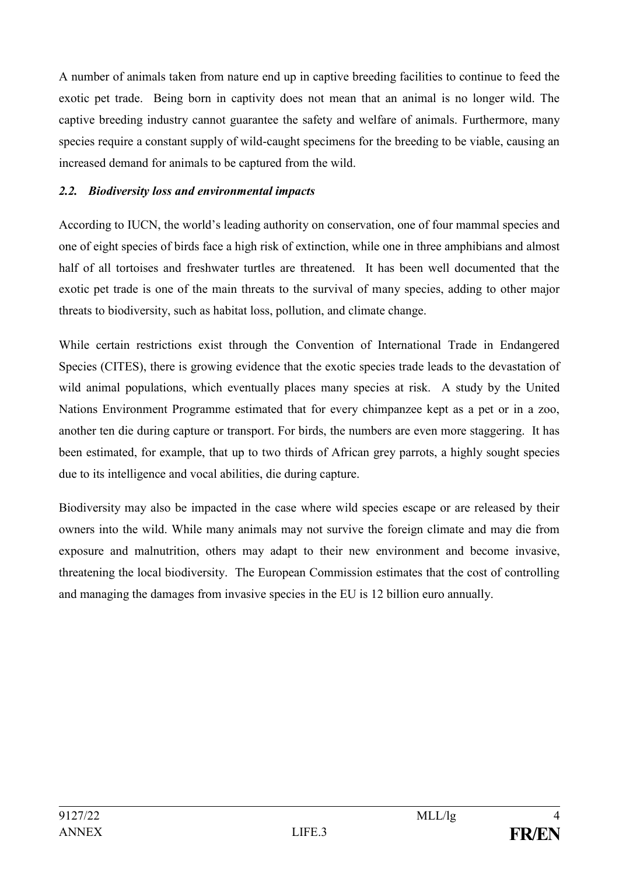A number of animals taken from nature end up in captive breeding facilities to continue to feed the exotic pet trade. Being born in captivity does not mean that an animal is no longer wild. The captive breeding industry cannot guarantee the safety and welfare of animals. Furthermore, many species require a constant supply of wild-caught specimens for the breeding to be viable, causing an increased demand for animals to be captured from the wild.

#### *2.2. Biodiversity loss and environmental impacts*

According to IUCN, the world's leading authority on conservation, one of four mammal species and one of eight species of birds face a high risk of extinction, while one in three amphibians and almost half of all tortoises and freshwater turtles are threatened. It has been well documented that the exotic pet trade is one of the main threats to the survival of many species, adding to other major threats to biodiversity, such as habitat loss, pollution, and climate change.

While certain restrictions exist through the Convention of International Trade in Endangered Species (CITES), there is growing evidence that the exotic species trade leads to the devastation of wild animal populations, which eventually places many species at risk. A study by the United Nations Environment Programme estimated that for every chimpanzee kept as a pet or in a zoo, another ten die during capture or transport. For birds, the numbers are even more staggering. It has been estimated, for example, that up to two thirds of African grey parrots, a highly sought species due to its intelligence and vocal abilities, die during capture.

Biodiversity may also be impacted in the case where wild species escape or are released by their owners into the wild. While many animals may not survive the foreign climate and may die from exposure and malnutrition, others may adapt to their new environment and become invasive, threatening the local biodiversity. The European Commission estimates that the cost of controlling and managing the damages from invasive species in the EU is 12 billion euro annually.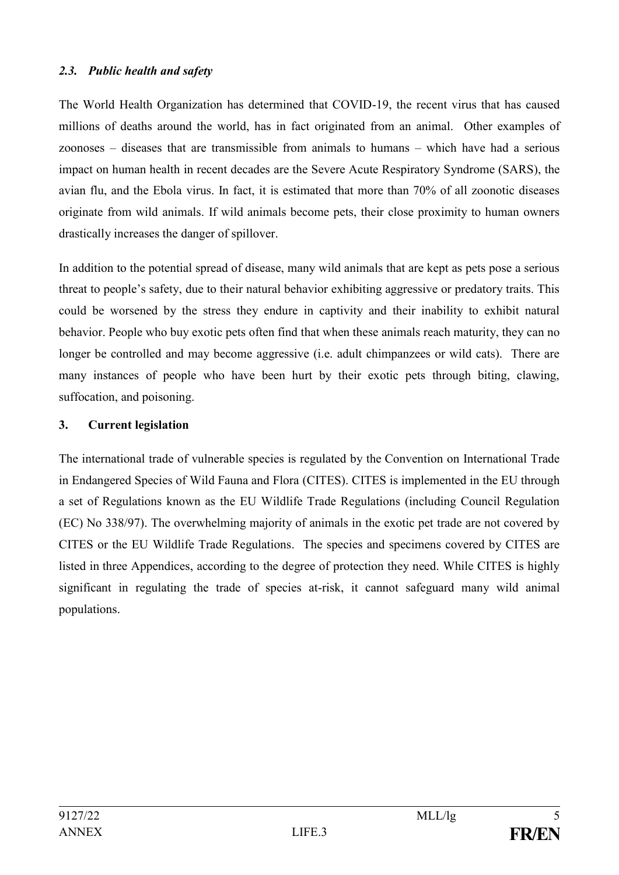#### *2.3. Public health and safety*

The World Health Organization has determined that COVID-19, the recent virus that has caused millions of deaths around the world, has in fact originated from an animal. Other examples of zoonoses – diseases that are transmissible from animals to humans – which have had a serious impact on human health in recent decades are the Severe Acute Respiratory Syndrome (SARS), the avian flu, and the Ebola virus. In fact, it is estimated that more than 70% of all zoonotic diseases originate from wild animals. If wild animals become pets, their close proximity to human owners drastically increases the danger of spillover.

In addition to the potential spread of disease, many wild animals that are kept as pets pose a serious threat to people's safety, due to their natural behavior exhibiting aggressive or predatory traits. This could be worsened by the stress they endure in captivity and their inability to exhibit natural behavior. People who buy exotic pets often find that when these animals reach maturity, they can no longer be controlled and may become aggressive (i.e. adult chimpanzees or wild cats). There are many instances of people who have been hurt by their exotic pets through biting, clawing, suffocation, and poisoning.

### **3. Current legislation**

The international trade of vulnerable species is regulated by the [Convention on International Trade](https://www.nationalgeographic.com/animals/article/convention-on-international-trade-in-endangered-species)  [in Endangered Species of Wild Fauna and Flora](https://www.nationalgeographic.com/animals/article/convention-on-international-trade-in-endangered-species) (CITES). CITES is implemented in the EU through a set of Regulations known as the EU Wildlife Trade Regulations (including Council Regulation (EC) No 338/97). The overwhelming majority of animals in the exotic pet trade are not covered by CITES or the EU Wildlife Trade Regulations. The species and specimens covered by CITES are listed in [three Appendices,](https://cites.org/eng/app/index.php) according to the degree of protection they need. While CITES is highly significant in regulating the trade of species at-risk, it cannot safeguard many wild animal populations.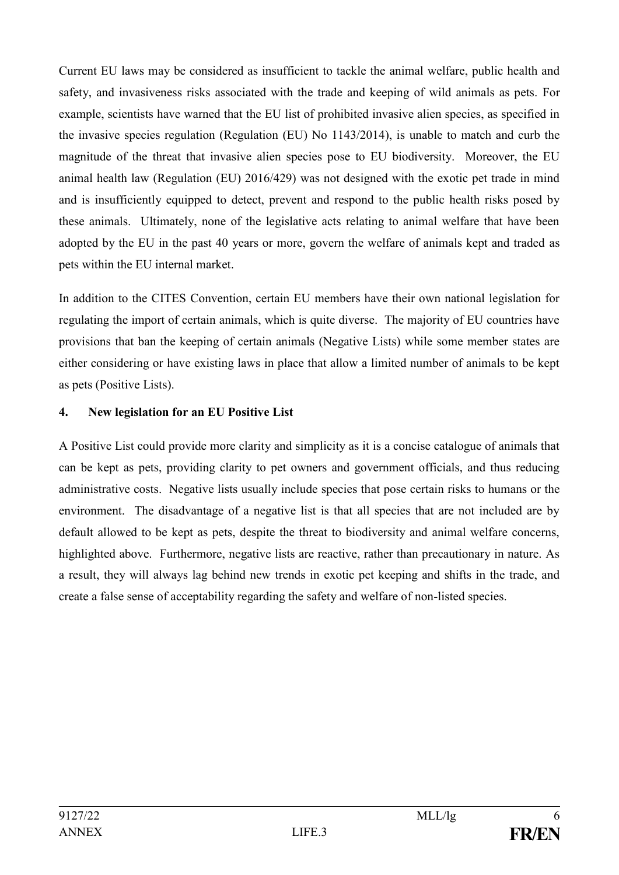Current EU laws may be considered as insufficient to tackle the animal welfare, public health and safety, and invasiveness risks associated with the trade and keeping of wild animals as pets. For example, scientists have warned that the EU list of prohibited invasive alien species, as specified in the invasive species regulation (Regulation (EU) No 1143/2014), is unable to match and curb the magnitude of the threat that invasive alien species pose to EU biodiversity. Moreover, the EU animal health law (Regulation (EU) 2016/429) was not designed with the exotic pet trade in mind and is insufficiently equipped to detect, prevent and respond to the public health risks posed by these animals. Ultimately, none of the legislative acts relating to animal welfare that have been adopted by the EU in the past 40 years or more, govern the welfare of animals kept and traded as pets within the EU internal market.

In addition to the CITES Convention, certain EU members have their own national legislation for regulating the import of certain animals, which is quite diverse. The majority of EU countries have provisions that ban the keeping of certain animals (Negative Lists) while some member states are either considering or have existing laws in place that allow a limited number of animals to be kept as pets (Positive Lists).

### **4. New legislation for an EU Positive List**

A Positive List could provide more clarity and simplicity as it is a concise catalogue of animals that can be kept as pets, providing clarity to pet owners and government officials, and thus reducing administrative costs. Negative lists usually include species that pose certain risks to humans or the environment. The disadvantage of a negative list is that all species that are not included are by default allowed to be kept as pets, despite the threat to biodiversity and animal welfare concerns, highlighted above. Furthermore, negative lists are reactive, rather than precautionary in nature. As a result, they will always lag behind new trends in exotic pet keeping and shifts in the trade, and create a false sense of acceptability regarding the safety and welfare of non-listed species.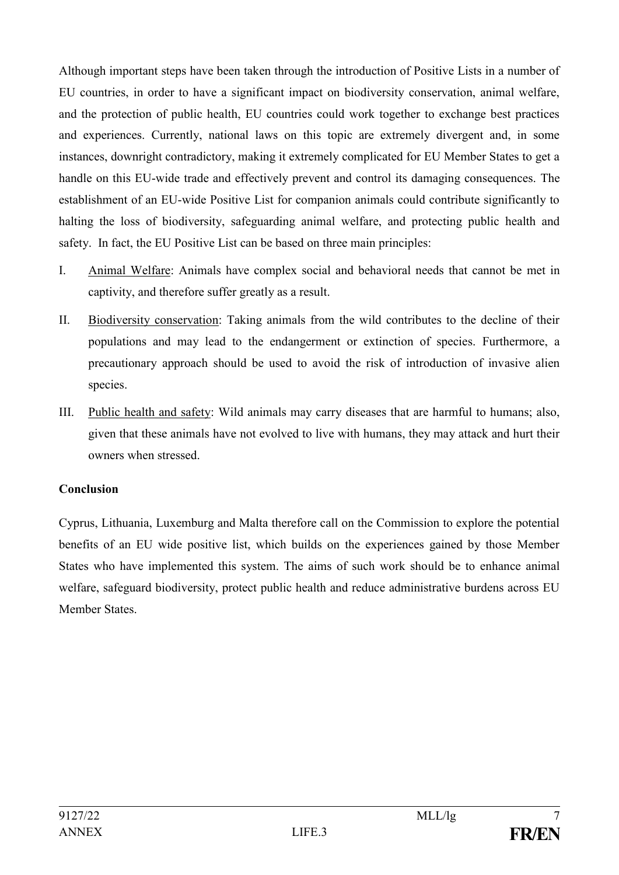Although important steps have been taken through the introduction of Positive Lists in a number of EU countries, in order to have a significant impact on biodiversity conservation, animal welfare, and the protection of public health, EU countries could work together to exchange best practices and experiences. Currently, national laws on this topic are extremely divergent and, in some instances, downright contradictory, making it extremely complicated for EU Member States to get a handle on this EU-wide trade and effectively prevent and control its damaging consequences. The establishment of an EU-wide Positive List for companion animals could contribute significantly to halting the loss of biodiversity, safeguarding animal welfare, and protecting public health and safety. In fact, the EU Positive List can be based on three main principles:

- I. Animal Welfare: Animals have complex social and behavioral needs that cannot be met in captivity, and therefore suffer greatly as a result.
- II. Biodiversity conservation: Taking animals from the wild contributes to the decline of their populations and may lead to the endangerment or extinction of species. Furthermore, a precautionary approach should be used to avoid the risk of introduction of invasive alien species.
- III. Public health and safety: Wild animals may carry diseases that are harmful to humans; also, given that these animals have not evolved to live with humans, they may attack and hurt their owners when stressed.

## **Conclusion**

Cyprus, Lithuania, Luxemburg and Malta therefore call on the Commission to explore the potential benefits of an EU wide positive list, which builds on the experiences gained by those Member States who have implemented this system. The aims of such work should be to enhance animal welfare, safeguard biodiversity, protect public health and reduce administrative burdens across EU Member States.